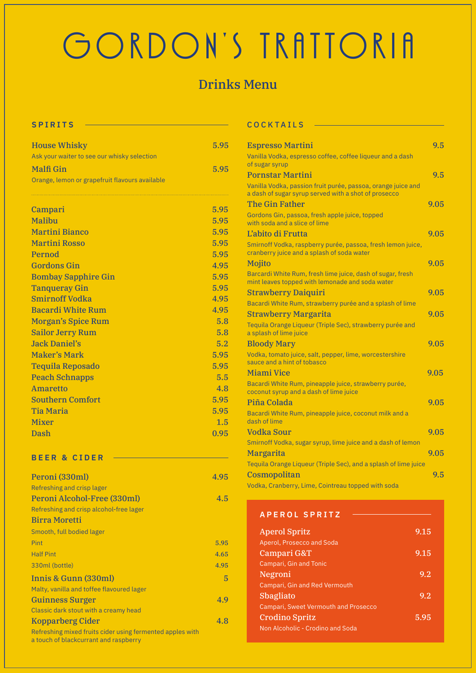# GORDON'S TRATTORIA

## Drinks Menu

| <b>House Whisky</b><br>Ask your waiter to see our whisky selection | 5.95 |
|--------------------------------------------------------------------|------|
| <b>Malfi Gin</b>                                                   | 5.95 |
| Orange, lemon or grapefruit flavours available                     |      |

| Campari                    | 5.95 |
|----------------------------|------|
| Malibu                     | 5.95 |
| <b>Martini Bianco</b>      | 5.95 |
| <b>Martini Rosso</b>       | 5.95 |
| Pernod                     | 5.95 |
| <b>Gordons Gin</b>         | 4.95 |
| <b>Bombay Sapphire Gin</b> | 5.95 |
| <b>Tanqueray Gin</b>       | 5.95 |
| <b>Smirnoff Vodka</b>      | 4.95 |
| <b>Bacardi White Rum</b>   | 4.95 |
| <b>Morgan's Spice Rum</b>  | 5.8  |
| <b>Sailor Jerry Rum</b>    | 5.8  |
| <b>Jack Daniel's</b>       | 5.2  |
| <b>Maker's Mark</b>        | 5.95 |
| <b>Tequila Reposado</b>    | 5.95 |
| <b>Peach Schnapps</b>      | 5.5  |
| <b>Amaretto</b>            | 4.8  |
| <b>Southern Comfort</b>    | 5.95 |
| <b>Tia Maria</b>           | 5.95 |
| <b>Mixer</b>               | 1.5  |
| Dash                       | 0.95 |

#### **BEER & CIDER**

| Peroni (330ml)                                                                                     | 4.95 |
|----------------------------------------------------------------------------------------------------|------|
| Refreshing and crisp lager                                                                         |      |
| Peroni Alcohol-Free (330ml)                                                                        | 4.5  |
| Refreshing and crisp alcohol-free lager                                                            |      |
| <b>Birra Moretti</b>                                                                               |      |
| Smooth, full bodied lager                                                                          |      |
| Pint                                                                                               | 5.95 |
| <b>Half Pint</b>                                                                                   | 4.65 |
| 330ml (bottle)                                                                                     | 4.95 |
| Innis & Gunn (330ml)                                                                               | 5    |
| Malty, vanilla and toffee flavoured lager                                                          |      |
| <b>Guinness Surger</b>                                                                             | 4.9  |
| Classic dark stout with a creamy head                                                              |      |
| <b>Kopparberg Cider</b>                                                                            | 4.8  |
| Refreshing mixed fruits cider using fermented apples with<br>a touch of blackcurrant and raspberry |      |

#### SPIRITS COCKTAILS

| <b>Espresso Martini</b>                                                                                              | 9.5  |
|----------------------------------------------------------------------------------------------------------------------|------|
| Vanilla Vodka, espresso coffee, coffee liqueur and a dash<br>of sugar syrup                                          |      |
| <b>Pornstar Martini</b>                                                                                              | 9.5  |
| Vanilla Vodka, passion fruit purée, passoa, orange juice and<br>a dash of sugar syrup served with a shot of prosecco |      |
| <b>The Gin Father</b>                                                                                                | 9.05 |
| Gordons Gin, passoa, fresh apple juice, topped<br>with soda and a slice of lime                                      |      |
| L'abito di Frutta                                                                                                    | 9.05 |
| Smirnoff Vodka, raspberry purée, passoa, fresh lemon juice,<br>cranberry juice and a splash of soda water            |      |
| <b>Mojito</b>                                                                                                        | 9.05 |
| Barcardi White Rum, fresh lime juice, dash of sugar, fresh<br>mint leaves topped with lemonade and soda water        |      |
| <b>Strawberry Daiquiri</b>                                                                                           | 9.05 |
| Bacardi White Rum, strawberry purée and a splash of lime                                                             |      |
| <b>Strawberry Margarita</b>                                                                                          | 9.05 |
| Tequila Orange Liqueur (Triple Sec), strawberry purée and<br>a splash of lime juice                                  |      |
| <b>Bloody Mary</b>                                                                                                   | 9.05 |
| Vodka, tomato juice, salt, pepper, lime, worcestershire<br>sauce and a hint of tobasco                               |      |
| Miami Vice                                                                                                           | 9.05 |
| Bacardi White Rum, pineapple juice, strawberry purée,<br>coconut syrup and a dash of lime juice                      |      |
| Piña Colada                                                                                                          | 9.05 |
| Bacardi White Rum, pineapple juice, coconut milk and a<br>dash of lime                                               |      |
| Vodka Sour                                                                                                           | 9.05 |
| Smirnoff Vodka, sugar syrup, lime juice and a dash of lemon                                                          |      |
| <b>Margarita</b>                                                                                                     | 9.05 |
| Tequila Orange Liqueur (Triple Sec), and a splash of lime juice                                                      |      |
| Cosmopolitan                                                                                                         | 9.5  |
| Vodka, Cranberry, Lime, Cointreau topped with soda                                                                   |      |

#### **APEROL SPRITZ**

| <b>Aperol Spritz</b>                        | 9.15 |
|---------------------------------------------|------|
| Aperol, Prosecco and Soda                   |      |
| Campari G&T                                 | 9.15 |
| Campari, Gin and Tonic                      |      |
| Negroni                                     | 9.2  |
| Campari, Gin and Red Vermouth               |      |
| <b>Sbagliato</b>                            | 9.2  |
| <b>Campari, Sweet Vermouth and Prosecco</b> |      |
| <b>Crodino Spritz</b>                       | 5.95 |
| Non Alcoholic - Crodino and Soda            |      |